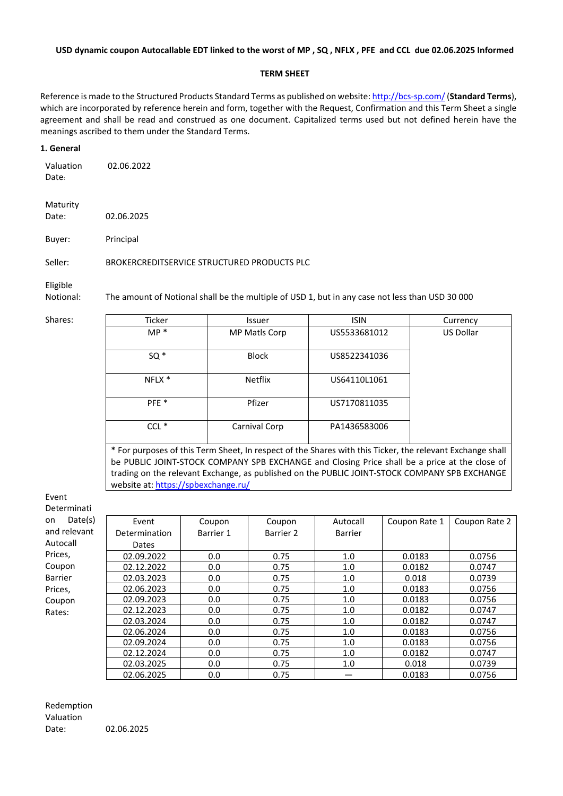#### **USD dynamic coupon Autocallable EDT linked to the worst of MP , SQ , NFLX , PFE and CCL due 02.06.2025 Informed**

#### **TERM SHEET**

Reference is made to the Structured Products Standard Terms as published on website:<http://bcs-sp.com/>(**Standard Terms**), which are incorporated by reference herein and form, together with the Request, Confirmation and this Term Sheet a single agreement and shall be read and construed as one document. Capitalized terms used but not defined herein have the meanings ascribed to them under the Standard Terms.

#### **1. General**

Valuation Date: 02.06.2022

Maturity Date: 02.06.2025

Buyer: Principal

Seller: BROKERCREDITSERVICE STRUCTURED PRODUCTS PLC

Eligible

Notional: The amount of Notional shall be the multiple of USD 1, but in any case not less than USD 30 000

| Shares: | Ticker                                                                                                  | <b>Issuer</b>  | <b>ISIN</b>  | Currency         |  |  |  |
|---------|---------------------------------------------------------------------------------------------------------|----------------|--------------|------------------|--|--|--|
|         | $MP *$                                                                                                  | MP Matls Corp  | US5533681012 | <b>US Dollar</b> |  |  |  |
|         |                                                                                                         |                |              |                  |  |  |  |
|         | $SO*$                                                                                                   | <b>Block</b>   | US8522341036 |                  |  |  |  |
|         |                                                                                                         |                |              |                  |  |  |  |
|         | NFLX *                                                                                                  | <b>Netflix</b> | US64110L1061 |                  |  |  |  |
|         |                                                                                                         |                |              |                  |  |  |  |
|         | PFE <sup>*</sup>                                                                                        | Pfizer         | US7170811035 |                  |  |  |  |
|         |                                                                                                         |                |              |                  |  |  |  |
|         | $CCL$ $*$                                                                                               | Carnival Corp  | PA1436583006 |                  |  |  |  |
|         |                                                                                                         |                |              |                  |  |  |  |
|         | For nurnoses of this Term Sheet. In respect of the Shares with this Ticker, the relevant Exchange shall |                |              |                  |  |  |  |

For purposes of this Term Sheet, In respect of the Shares with this Ticker, the relevant Exchange shall be PUBLIC JOINT-STOCK COMPANY SPB EXCHANGE and Closing Price shall be a price at the close of trading on the relevant Exchange, as published on the PUBLIC JOINT-STOCK COMPANY SPB EXCHANGE website at: <https://spbexchange.ru/>

Event Determinati on Dat and rele Autocall Prices, Coupon Barrier Prices, Coupon Rates:

| te(s) | Event         | Coupon    | Coupon    | Autocall       | Coupon Rate 1 | Coupon Rate 2 |
|-------|---------------|-----------|-----------|----------------|---------------|---------------|
| vant  | Determination | Barrier 1 | Barrier 2 | <b>Barrier</b> |               |               |
|       | Dates         |           |           |                |               |               |
|       | 02.09.2022    | 0.0       | 0.75      | 1.0            | 0.0183        | 0.0756        |
|       | 02.12.2022    | 0.0       | 0.75      | 1.0            | 0.0182        | 0.0747        |
|       | 02.03.2023    | 0.0       | 0.75      | 1.0            | 0.018         | 0.0739        |
|       | 02.06.2023    | 0.0       | 0.75      | 1.0            | 0.0183        | 0.0756        |
|       | 02.09.2023    | 0.0       | 0.75      | 1.0            | 0.0183        | 0.0756        |
|       | 02.12.2023    | 0.0       | 0.75      | 1.0            | 0.0182        | 0.0747        |
|       | 02.03.2024    | 0.0       | 0.75      | 1.0            | 0.0182        | 0.0747        |
|       | 02.06.2024    | 0.0       | 0.75      | 1.0            | 0.0183        | 0.0756        |
|       | 02.09.2024    | 0.0       | 0.75      | 1.0            | 0.0183        | 0.0756        |
|       | 02.12.2024    | 0.0       | 0.75      | 1.0            | 0.0182        | 0.0747        |
|       | 02.03.2025    | 0.0       | 0.75      | 1.0            | 0.018         | 0.0739        |
|       | 02.06.2025    | 0.0       | 0.75      |                | 0.0183        | 0.0756        |

Redemption Valuation Date: 02.06.2025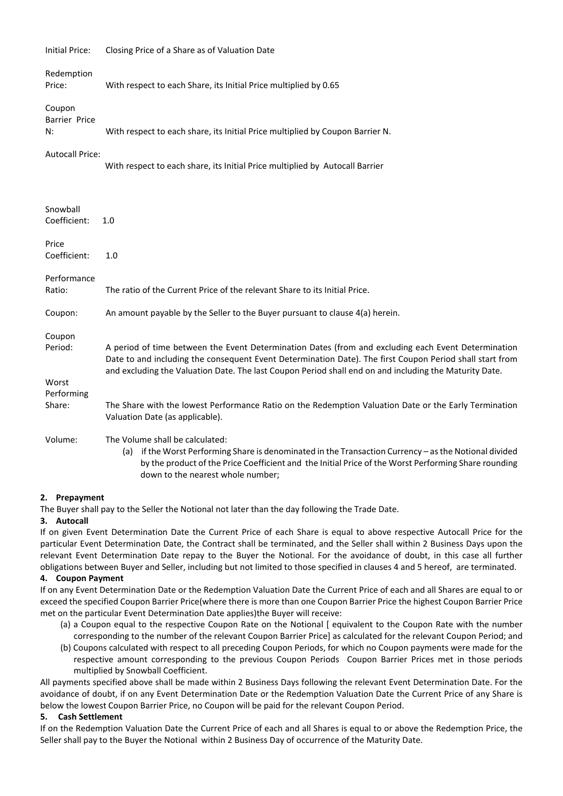| Initial Price:                           | Closing Price of a Share as of Valuation Date                                                                                                                                                                                                                                                                             |  |  |  |  |
|------------------------------------------|---------------------------------------------------------------------------------------------------------------------------------------------------------------------------------------------------------------------------------------------------------------------------------------------------------------------------|--|--|--|--|
| Redemption<br>Price:                     | With respect to each Share, its Initial Price multiplied by 0.65                                                                                                                                                                                                                                                          |  |  |  |  |
| Coupon<br>Barrier Price<br>N:            | With respect to each share, its Initial Price multiplied by Coupon Barrier N.                                                                                                                                                                                                                                             |  |  |  |  |
| <b>Autocall Price:</b>                   | With respect to each share, its Initial Price multiplied by Autocall Barrier                                                                                                                                                                                                                                              |  |  |  |  |
| Snowball<br>Coefficient:                 | 1.0                                                                                                                                                                                                                                                                                                                       |  |  |  |  |
| Price<br>Coefficient:                    | 1.0                                                                                                                                                                                                                                                                                                                       |  |  |  |  |
| Performance<br>Ratio:                    | The ratio of the Current Price of the relevant Share to its Initial Price.                                                                                                                                                                                                                                                |  |  |  |  |
| Coupon:                                  | An amount payable by the Seller to the Buyer pursuant to clause 4(a) herein.                                                                                                                                                                                                                                              |  |  |  |  |
| Coupon<br>Period:<br>Worst<br>Performing | A period of time between the Event Determination Dates (from and excluding each Event Determination<br>Date to and including the consequent Event Determination Date). The first Coupon Period shall start from<br>and excluding the Valuation Date. The last Coupon Period shall end on and including the Maturity Date. |  |  |  |  |
| Share:                                   | The Share with the lowest Performance Ratio on the Redemption Valuation Date or the Early Termination<br>Valuation Date (as applicable).                                                                                                                                                                                  |  |  |  |  |
| Volume:                                  | The Volume shall be calculated:<br>if the Worst Performing Share is denominated in the Transaction Currency - as the Notional divided<br>(a)<br>by the product of the Price Coefficient and the Initial Price of the Worst Performing Share rounding<br>down to the nearest whole number;                                 |  |  |  |  |

## **2. Prepayment**

The Buyer shall pay to the Seller the Notional not later than the day following the Trade Date.

## **3. Autocall**

If on given Event Determination Date the Current Price of each Share is equal to above respective Autocall Price for the particular Event Determination Date, the Contract shall be terminated, and the Seller shall within 2 Business Days upon the relevant Event Determination Date repay to the Buyer the Notional. For the avoidance of doubt, in this case all further obligations between Buyer and Seller, including but not limited to those specified in clauses 4 and 5 hereof, are terminated.

## **4. Coupon Payment**

If on any Event Determination Date or the Redemption Valuation Date the Current Price of each and all Shares are equal to or exceed the specified Coupon Barrier Price(where there is more than one Coupon Barrier Price the highest Coupon Barrier Price met on the particular Event Determination Date applies)the Buyer will receive:

- (a) a Coupon equal to the respective Coupon Rate on the Notional [ equivalent to the Coupon Rate with the number corresponding to the number of the relevant Coupon Barrier Price] as calculated for the relevant Coupon Period; and
- (b) Coupons calculated with respect to all preceding Coupon Periods, for which no Coupon payments were made for the respective amount corresponding to the previous Coupon Periods Coupon Barrier Prices met in those periods multiplied by Snowball Coefficient.

All payments specified above shall be made within 2 Business Days following the relevant Event Determination Date. For the avoidance of doubt, if on any Event Determination Date or the Redemption Valuation Date the Current Price of any Share is below the lowest Coupon Barrier Price, no Coupon will be paid for the relevant Coupon Period.

# **5. Cash Settlement**

If on the Redemption Valuation Date the Current Price of each and all Shares is equal to or above the Redemption Price, the Seller shall pay to the Buyer the Notional within 2 Business Day of occurrence of the Maturity Date.